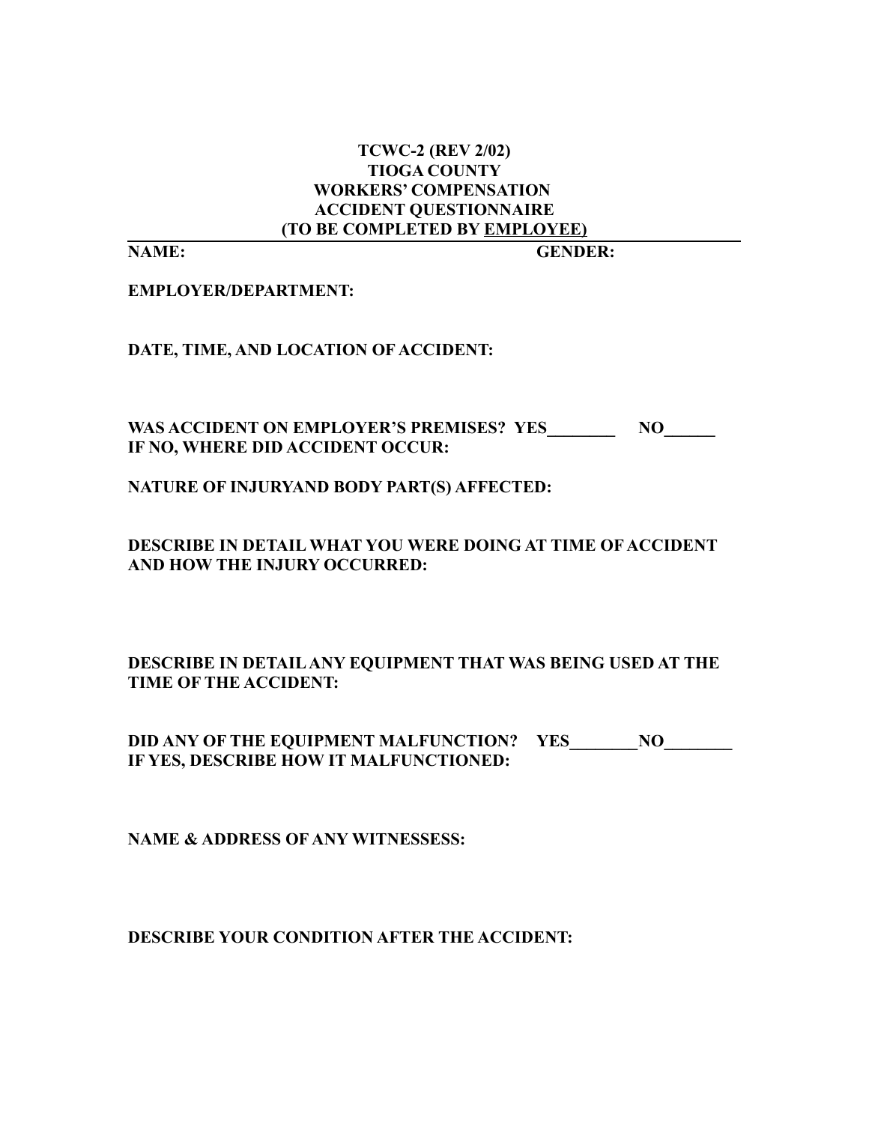## **TCWC-2 (REV 2/02) TIOGA COUNTY WORKERS' COMPENSATION ACCIDENT QUESTIONNAIRE (TO BE COMPLETED BY EMPLOYEE)**

**NAME: GENDER:**

**EMPLOYER/DEPARTMENT:**

**DATE, TIME, AND LOCATION OF ACCIDENT:**

**WAS ACCIDENT ON EMPLOYER'S PREMISES? YES\_\_\_\_\_\_\_\_ NO\_\_\_\_\_\_ IF NO, WHERE DID ACCIDENT OCCUR:**

**NATURE OF INJURYAND BODY PART(S) AFFECTED:**

**DESCRIBE IN DETAIL WHAT YOU WERE DOING AT TIME OF ACCIDENT AND HOW THE INJURY OCCURRED:**

**DESCRIBE IN DETAIL ANY EQUIPMENT THAT WAS BEING USED AT THE TIME OF THE ACCIDENT:**

**DID ANY OF THE EQUIPMENT MALFUNCTION? YES IF YES, DESCRIBE HOW IT MALFUNCTIONED:**

**NAME & ADDRESS OF ANY WITNESSESS:**

**DESCRIBE YOUR CONDITION AFTER THE ACCIDENT:**